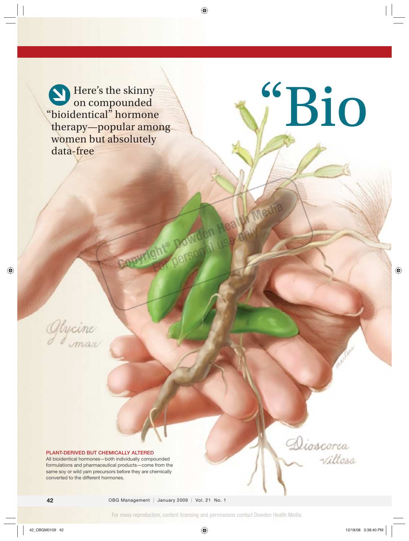Here's the skinny on compounded " bioidentical" hormone therapy—popular among women but absolutely data-free



#### **PLANT-DERIVED BUT CHEMICALLY ALTERED**

All bioidentical hormones—both individually compounded formulations and pharmaceutical products—come from the same soy or wild yam precursors before they are chemically converted to the different hormones.

For mass reproduction, content licensing and permissions contact Dowden Health Media.

**Copyright® Dowden Health Media**  For personal use only

"Bio

Dioscorea

villosa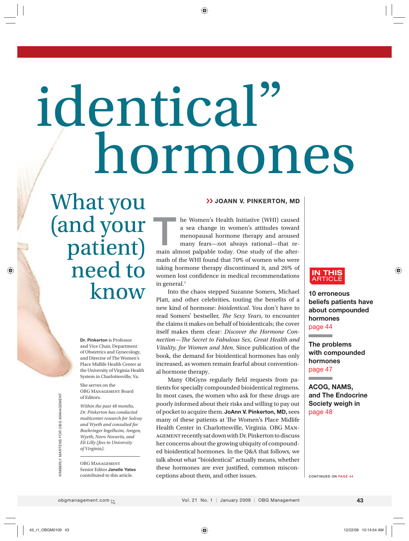# hormones identical"

What you (and your patient) need to know

> **Dr. Pinkerton** is Professor and Vice Chair, Department of Obstetrics and Gynecology, and Director of The Women's Place Midlife Health Center at the University of Virginia Health System in Charlottesville, Va.

She serves on the OBG Management Board of Editors.

*Within the past 48 months, Dr. Pinkerton has conducted multicenter research for Solvay and Wyeth and consulted for Boehringer Ingelheim, Amgen, Wyeth, Novo Novartis, and Eli Lilly (fees to University of Virginia).*

OBG Management Senior Editor **Janelle Yates** contributed to this article.

#### >> JOANN V. PINKERTON, MD

he Women's Health Initiative (WHI) caused a sea change in women's attitudes toward menopausal hormone therapy and aroused many fears—not always rational—that re-**Example 18 Almondstrands are study of the after-**<br> **The almondstrands are study of the after-**<br> **The after-**<br> **The after-**<br> **The after-**<br> **The after-**<br> **The after-**<br> **The after-**<br> **The after-**<br> **The after-**<br> **The after-**<br> math of the WHI found that 70% of women who were taking hormone therapy discontinued it, and 26% of women lost confidence in medical recommendations in general. $<sup>1</sup>$ </sup>

Into the chaos stepped Suzanne Somers, Michael Platt, and other celebrities, touting the benefits of a new kind of hormone: *bioidentical*. You don't have to read Somers' bestseller, *The Sexy Years*, to encounter the claims it makes on behalf of bioidenticals; the cover itself makes them clear: *Discover the Hormone Connection—The Secret to Fabulous Sex, Great Health and Vitality, for Women and Men*. Since publication of the book, the demand for bioidentical hormones has only increased, as women remain fearful about conventional hormone therapy.

Many ObGyns regularly field requests from patients for specially compounded bioidentical regimens. In most cases, the women who ask for these drugs are poorly informed about their risks and willing to pay out of pocket to acquire them. **JoAnn V. Pinkerton, MD,** sees many of these patients at The Women's Place Midlife Health Center in Charlottesville, Virginia. OBG Management recently sat down with Dr. Pinkerton to discuss her concerns about the growing ubiquity of compounded bioidentical hormones. In the Q&A that follows, we talk about what "bioidentical" actually means, whether these hormones are ever justified, common misconceptions about them, and other issues.



**Contract Contract** 

**10 erroneous beliefs patients have about compounded hormones** page 44

**The problems with compounded hormones** page 47

**ACOG, NAMS, and The Endocrine Society weigh in** page 48

**CONTINUED ON PAGE 44**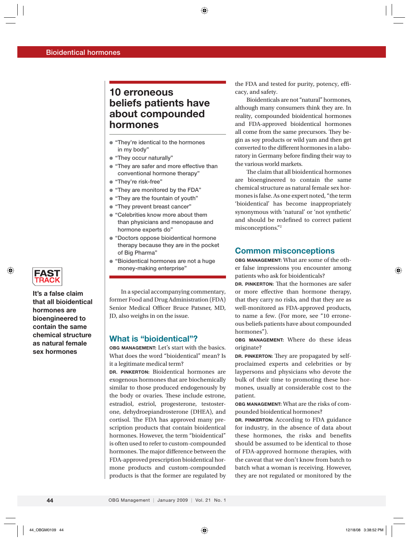# **10 erroneous beliefs patients have about compounded hormones**

- **" They're identical to the hormones in my body"**
- **"They occur naturally"**
- **" They are safer and more effective than conventional hormone therapy"**
- **"They're risk-free"**
- **"They are monitored by the FDA"**
- **"They are the fountain of youth"**
- **"They prevent breast cancer"**
- **" Celebrities know more about them than physicians and menopause and hormone experts do"**
- **" Doctors oppose bioidentical hormone therapy because they are in the pocket of Big Pharma"**
- **" Bioidentical hormones are not a huge money-making enterprise"**

In a special accompanying commentary, former Food and Drug Administration (FDA) Senior Medical Officer Bruce Patsner, MD, JD, also weighs in on the issue.

#### **What is "bioidentical"?**

**OBG MANAGEMENT:** Let's start with the basics. What does the word "bioidentical" mean? Is it a legitimate medical term?

**DR. PINKERTON:** Bioidentical hormones are exogenous hormones that are biochemically similar to those produced endogenously by the body or ovaries. These include estrone, estradiol, estriol, progesterone, testosterone, dehydroepiandrosterone (DHEA), and cortisol. The FDA has approved many prescription products that contain bioidentical hormones. However, the term "bioidentical" is often used to refer to custom-compounded hormones. The major difference between the FDA-approved prescription bioidentical hormone products and custom-compounded products is that the former are regulated by the FDA and tested for purity, potency, efficacy, and safety.

Bioidenticals are not "natural" hormones, although many consumers think they are. In reality, compounded bioidentical hormones and FDA-approved bioidentical hormones all come from the same precursors. They begin as soy products or wild yam and then get converted to the different hormones in a laboratory in Germany before finding their way to the various world markets.

The claim that all bioidentical hormones are bioengineered to contain the same chemical structure as natural female sex hormones is false. As one expert noted, "the term 'bioidentical' has become inappropriately synonymous with 'natural' or 'not synthetic' and should be redefined to correct patient misconceptions."2

## **Common misconceptions**

**OBG MANAGEMENT:** What are some of the other false impressions you encounter among patients who ask for bioidenticals?

**DR. PINKERTON:** That the hormones are safer or more effective than hormone therapy, that they carry no risks, and that they are as well-monitored as FDA-approved products, to name a few. (For more, see "10 erroneous beliefs patients have about compounded hormones").

**OBG MANAGEMENT:** Where do these ideas originate?

**DR. PINKERTON:** They are propagated by selfproclaimed experts and celebrities or by laypersons and physicians who devote the bulk of their time to promoting these hormones, usually at considerable cost to the patient.

**OBG MANAGEMENT:** What are the risks of compounded bioidentical hormones?

**DR. PINKERTON:** According to FDA guidance for industry, in the absence of data about these hormones, the risks and benefits should be assumed to be identical to those of FDA-approved hormone therapies, with the caveat that we don't know from batch to batch what a woman is receiving. However, they are not regulated or monitored by the



**It's a false claim that all bio identical hormones are bioengineered to contain the same chemical structure as natural female sex hormones**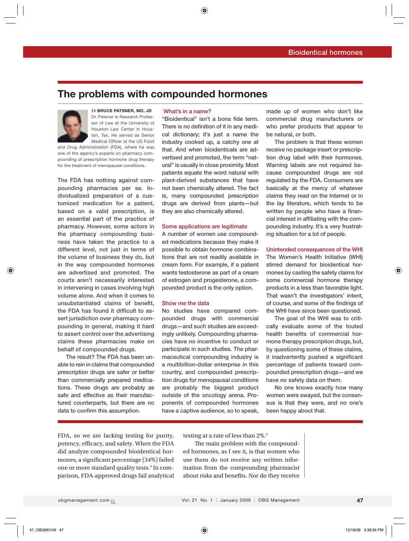# **The problems with compounded hormones**



#### ›› **BRUCE PATSNER, MD, JD** Dr. Patsner is Research Professor of Law at the University of Houston Law Center in Houston, Tex. He served as Senior

Medical Officer at the US Food and Drug Administration (FDA), where he was one of the agency's experts on pharmacy compounding of prescription hormone drug therapy for the treatment of menopausal conditions.

**The FDA has nothing against compounding pharmacies per se. Individualized preparation of a customized medication for a patient, based on a valid prescription, is an essential part of the practice of pharmacy. However, some actors in the pharmacy compounding business have taken the practice to a different level, not just in terms of the volume of business they do, but in the way compounded hormones are advertised and promoted. The courts aren't necessarily interested in intervening in cases involving high volume alone. And when it comes to**  unsubstantiated claims of benefit, the FDA has found it difficult to as**sert jurisdiction over pharmacy compounding in general, making it hard to assert control over the advertising claims these pharmacies make on behalf of compounded drugs.**

 **The result? The FDA has been unable to rein in claims that compounded prescription drugs are safer or better than commercially prepared medications. These drugs are probably as safe and effective as their manufactured counterparts, but there are no**  data to confirm this assumption.

#### **What's in a name?**

"Bioidentical" isn't a bona fide term. There is no definition of it in any medi**cal dictionary; it's just a name the industry cooked up, a catchy one at that. And when bioidenticals are advertised and promoted, the term "natural" is usually in close proximity. Most patients equate the word natural with plant-derived substances that have not been chemically altered. The fact is, many compounded prescription drugs are derived from plants—but they are also chemically altered.** 

#### **Some applications are legitimate**

**A number of women use compounded medications because they make it possible to obtain hormone combinations that are not readily available in cream form. For example, if a patient wants testosterone as part of a cream of estrogen and progesterone, a compounded product is the only option.** 

#### **Show me the data**

**No studies have compared compounded drugs with commercial drugs—and such studies are exceedingly unlikely. Compounding pharmacies have no incentive to conduct or participate in such studies. The pharmaceutical compounding industry is a multibillion-dollar enterprise in this country, and compounded prescription drugs for menopausal conditions are probably the biggest product outside of the oncology arena. Proponents of compounded hormones have a captive audience, so to speak,** 

**made up of women who don't like commercial drug manufacturers or who prefer products that appear to be natural, or both.**

 **The problem is that these women receive no package insert or prescription drug label with their hormones. Warning labels are not required because compounded drugs are not regulated by the FDA. Consumers are basically at the mercy of whatever claims they read on the Internet or in the lay literature, which tends to be**  written by people who have a financial interest in affiliating with the com**pounding industry. It's a very frustrating situation for a lot of people.** 

#### **Unintended consequences of the WHI**

**The Women's Health Initiative (WHI) stirred demand for bioidentical hormones by casting the safety claims for some commercial hormone therapy products in a less than favorable light. That wasn't the investigators' intent,**  of course, and some of the findings of **the WHI have since been questioned.** 

 **The goal of the WHI was to critically evaluate some of the touted**  health benefits of commercial hor**mone therapy prescription drugs, but, by questioning some of these claims, it inadvertently pushed a significant percentage of patients toward compounded prescription drugs—and we have** *no* **safety data on them.**

 **No one knows exactly how many women were swayed, but the consensus is that they were, and no one's been happy about that.**

FDA, so we are lacking testing for purity, potency, efficacy, and safety. When the FDA did analyze compounded bioidentical hormones, a significant percentage (34%) failed one or more standard quality tests.<sup>3</sup> In comparison, FDA-approved drugs fail analytical testing at a rate of less than 2%.3

The main problem with the compounded hormones, as I see it, is that women who use them do not receive any written information from the compounding pharmacist about risks and benefits. Nor do they receive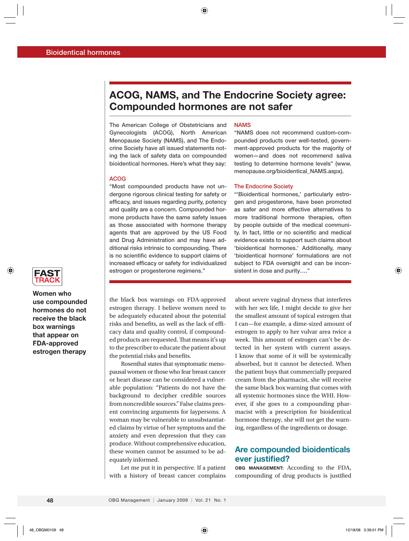# **ACOG, NAMS, and The Endocrine Society agree: Compounded hormones are not safer**

**The American College of Obstetricians and Gynecologists (ACOG), North American Menopause Society (NAMS), and The Endocrine Society have all issued statements noting the lack of safety data on compounded bioidentical hormones. Here's what they say:**

#### **ACOG**

**"Most compounded products have not undergone rigorous clinical testing for safety or effi cacy, and issues regarding purity, potency and quality are a concern. Compounded hormone products have the same safety issues as those associated with hormone therapy agents that are approved by the US Food and Drug Administration and may have additional risks intrinsic to compounding. There**  is no scientific evidence to support claims of increased efficacy or safety for individualized **estrogen or progesterone regimens."**

#### **NAMS**

**"NAMS does not recommend custom-compounded products over well-tested, government-approved products for the majority of women—and does not recommend saliva testing to determine hormone levels" (www. menopause.org/bioidentical\_NAMS.aspx).**

#### **The Endocrine Society**

**"'Bioidentical hormones,' particularly estrogen and progesterone, have been promoted as safer and more effective alternatives to more traditional hormone therapies, often by people outside of the medical communi**ty. In fact, little or no scientific and medical **evidence exists to support such claims about 'bioidentical hormones.' Additionally, many 'bioidentical hormone' formulations are not subject to FDA oversight and can be inconsistent in dose and purity…."** 



**Women who use compounded hormones do not receive the black box warnings that appear on FDA-approved estrogen therapy**

the black box warnings on FDA-approved estrogen therapy. I believe women need to be adequately educated about the potential risks and benefits, as well as the lack of efficacy data and quality control, if compounded products are requested. That means it's up to the prescriber to educate the patient about the potential risks and benefits.

Rosenthal states that symptomatic menopausal women or those who fear breast cancer or heart disease can be considered a vulnerable population: "Patients do not have the background to decipher credible sources from noncredible sources." False claims present convincing arguments for laypersons. A woman may be vulnerable to unsubstantiated claims by virtue of her symptoms and the anxiety and even depression that they can produce. Without comprehensive education, these women cannot be assumed to be adequately informed.

Let me put it in perspective. If a patient with a history of breast cancer complains

about severe vaginal dryness that interferes with her sex life, I might decide to give her the smallest amount of topical estrogen that I can—for example, a dime-sized amount of estrogen to apply to her vulvar area twice a week. This amount of estrogen can't be detected in her system with current assays. I know that some of it will be systemically absorbed, but it cannot be detected. When the patient buys that commercially prepared cream from the pharmacist, she will receive the same black box warning that comes with all systemic hormones since the WHI. However, if she goes to a compounding pharmacist with a prescription for bioidentical hormone therapy, she will not get the warning, regardless of the ingredients or dosage.

# **Are compounded bioidenticals ever justified?**

**OBG MANAGEMENT:** According to the FDA, compounding of drug products is justified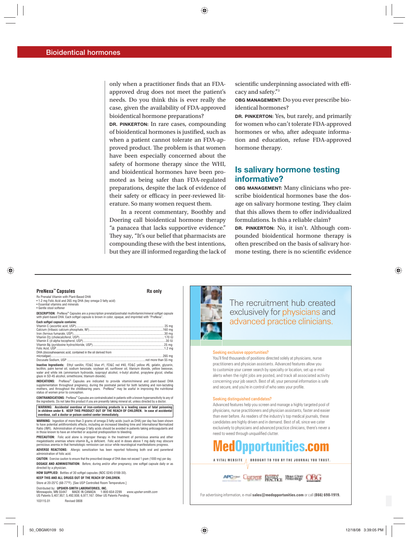only when a practitioner finds that an FDAapproved drug does not meet the patient's needs. Do you think this is ever really the case, given the availability of FDA-approved bioidentical hormone preparations?

**DR. PINKERTON:** In rare cases, compounding of bioidentical hormones is justified, such as when a patient cannot tolerate an FDA-approved product. The problem is that women have been especially concerned about the safety of hormone therapy since the WHI, and bioidentical hormones have been promoted as being safer than FDA-regulated preparations, despite the lack of evidence of their safety or efficacy in peer-reviewed literature. So many women request them.

In a recent commentary, Boothby and Doering call bioidentical hormone therapy "a panacea that lacks supportive evidence." They say, "It's our belief that pharmacists are compounding these with the best intentions, but they are ill informed regarding the lack of scientific underpinning associated with efficacy and safety."3

**OBG MANAGEMENT:** Do you ever prescribe bioidentical hormones?

**DR. PINKERTON:** Yes, but rarely, and primarily for women who can't tolerate FDA-approved hormones or who, after adequate information and education, refuse FDA-approved hormone therapy.

# **Is salivary hormone testing informative?**

**OBG MANAGEMENT:** Many clinicians who prescribe bioidentical hormones base the dosage on salivary hormone testing. They claim that this allows them to offer individualized formulations. Is this a reliable claim?

**DR. PINKERTON:** No, it isn't. Although compounded bioidentical hormone therapy is often prescribed on the basis of salivary hormone testing, there is no scientific evidence

#### **PreNexa™ Capsules Rx only**

Rx Prenatal Vitamin with Plant-Based DHA • 1.2 mg Folic Acid and 265 mg DHA (key omega-3 fatty acid)

• Essential vitamins and minerals

■ Essential Vitaminis and

**DESCRIPTION:** PreNexa™ Capsules are a prescription prenatal/postnatal multivitamin/mineral softgel capsule with plant-based DHA. Each softgel capsule is brown in color, opaque, and imprinted with "PreNexa"

**Each softgel capsule contains:**

| DHA (docosahexaenoic acid, contained in the oil derived from |  |
|--------------------------------------------------------------|--|
|                                                              |  |
|                                                              |  |
|                                                              |  |

**Inactive Ingredients:** Ethyl vanillin, FD&C blue #1, FD&C red #40, FD&C yellow #6, gelatin, glycerin, lecithin, palm kernel oil, sodium benzoate, sovbean oil, sunflower oil, titanium dioxide, vellow beeswax Water and white ink (ammonium hydroxide, isopropyl alcohol, n-butyl alcohol, propylene glycol, shellac alaze in SD-45 alcohol, simethicone, titanium dioxide).

**INDICATIONS:** PreNexa™ Capsules are indicated to provide vitamin/mineral and plant-based DHA supplementation throughout pregnancy, during the postnatal period for both lactating and non-lactating The Virtual of the State of Property of Property, Alling the Property of Property 2014 of the Alling property, and throughout the childbearing years. PreNexa<sup>ne</sup> may be useful in improving the nutritional status of women prior to conception.

**CONTRAINDICATIONS:** PreNexa™ Capsules are contraindicated in patients with a known hypersensitivity to any of the ingredients. Do not take this product if you are presently taking mineral oil, unless directed by a doctor. **WARNING: Accidental overdose of iron-containing products is a leading cause of fatal poisoning in children under 6. KEEP THIS PRODUCT OUT OF THE REACH OF CHILDREN. In case of accidental**

**overdose, call a doctor or poison control center immediately.** WARNING: Ingestion of more than 3 grams of omega-3 fatty acids (such as DHA) per day has been shown to have potential antithrombotic effects, including an increased bleeding time and International Normalized

Ratio (INR). Administration of omega-3 fatty acids should be avoided in patients taking anticoagulants and<br>in those known to have an inherited or acquired predisposition to bleeding.

PRECAUTION: Folic acid alone is improper therapy in the treatment of pernicious anemia and other megaloblastic anemias where vitamin B<sub>12</sub> is deficient. Folic acid in doses above 1 mg daily may obscure<br>pernicious anemia in that hematologic remission can occur while neurological manifestations progress.

ADVERSE REACTIONS: Allergic sensitization has been reported following both oral and parenteral administration of folic acid. CAUTION: Exercise caution to ensure that the prescribed dosage of DHA does not exceed 1 gram (1000 mg) per day.

**DOSAGE AND ADMINISTRATION:** Before, during and/or after pregnancy, one softgel capsule daily or as directed by a physician.

**HOW SUPPLIED:** Bottles of 30 softgel capsules (NDC 0245-0188-30).

**KEEP THIS AND ALL DRUGS OUT OF THE REACH OF CHILDREN.**

Store at 20-25°C (68-77°F). [See USP Controlled Room Temperature.]

Distributed by: **UPSHER-SMITH LABORATORIES, INC.**<br>Minneapolis, MN 55447 MADE IN CANADA 1-800-654-2299 *www.upsher-smith.com*<br>US Patents 5,407,957; 5,492,938; 6,977,167. Other US Patents Pending.

103115.01 Revised 0808



The recruitment hub created exclusively for physicians and advanced practice clinicians.

#### Seeking exclusive opportunities?

You'll find thousands of positions directed solely at physicians, nurse practitioners and physician assistants. Advanced features allow you to customize your career search by specialty or location, set up e-mail alerts when the right jobs are posted, and track all associated activity concerning your job search. Best of all, your personal information is safe and secure, and you're in control of who sees your profile.

#### Seeking distinguished candidates?

Advanced features help you screen and manage a highly targeted pool of physicians, nurse practitioners and physician assistants, faster and easier than ever before. As readers of the industry's top medical journals, these candidates are highly driven and in demand. Best of all, since we cater exclusively to physicians and advanced practice clinicians, there's never a need to weed through unqualified clutter.

# **MedOpportunities.com**

**A VITAL WEBSITE BROUGHT TO YOU BY THE JOURNAL YOU TRUST.**

APC- CULTURE RATHLE MALLER OBG

For advertising information, e-mail **sales@medopportunities.com** or call **(866) 698-1919.**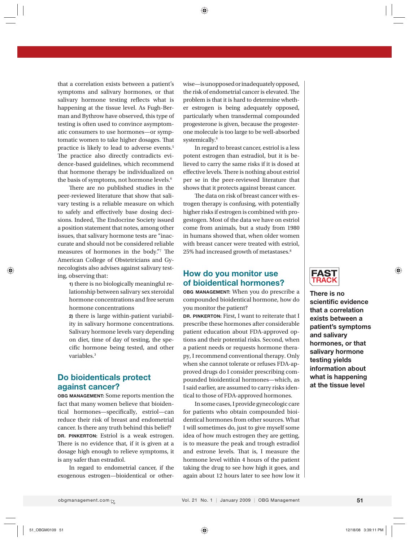that a correlation exists between a patient's symptoms and salivary hormones, or that salivary hormone testing reflects what is happening at the tissue level. As Fugh-Berman and Bythrow have observed, this type of testing is often used to convince asymptomatic consumers to use hormones—or symptomatic women to take higher dosages. That practice is likely to lead to adverse events.5 The practice also directly contradicts evidence-based guidelines, which recommend that hormone therapy be individualized on the basis of symptoms, not hormone levels.<sup>6</sup>

There are no published studies in the peer-reviewed literature that show that salivary testing is a reliable measure on which to safely and effectively base dosing decisions. Indeed, The Endocrine Society issued a position statement that notes, among other issues, that salivary hormone tests are "inaccurate and should not be considered reliable measures of hormones in the body."7 The American College of Obstetricians and Gynecologists also advises against salivary testing, observing that:

 **1)** there is no biologically meaningful relationship between salivary sex steroidal hormone concentrations and free serum hormone concentrations

 **2)** there is large within-patient variability in salivary hormone concentrations. Salivary hormone levels vary depending on diet, time of day of testing, the specific hormone being tested, and other variables.3

# **Do bioidenticals protect against cancer?**

**OBG MANAGEMENT:** Some reports mention the fact that many women believe that bioidentical hormones—specifically, estriol—can reduce their risk of breast and endometrial cancer. Is there any truth behind this belief? **DR. PINKERTON:** Estriol is a weak estrogen. There is no evidence that, if it is given at a dosage high enough to relieve symptoms, it is any safer than estradiol.

In regard to endometrial cancer, if the exogenous estrogen—bioidentical or otherwise—is unopposed or inadequately opposed, the risk of endometrial cancer is elevated. The problem is that it is hard to determine whether estrogen is being adequately opposed, particularly when transdermal compounded progesterone is given, because the progesterone molecule is too large to be well-absorbed systemically.<sup>9</sup>

In regard to breast cancer, estriol is a less potent estrogen than estradiol, but it is believed to carry the same risks if it is dosed at effective levels. There is nothing about estriol per se in the peer-reviewed literature that shows that it protects against breast cancer.

The data on risk of breast cancer with estrogen therapy is confusing, with potentially higher risks if estrogen is combined with progestogen. Most of the data we have on estriol come from animals, but a study from 1980 in humans showed that, when older women with breast cancer were treated with estriol, 25% had increased growth of metastases.<sup>8</sup>

# **How do you monitor use of bioidentical hormones?**

**OBG MANAGEMENT:** When you do prescribe a compounded bioidentical hormone, how do you monitor the patient?

**DR. PINKERTON:** First, I want to reiterate that I prescribe these hormones after considerable patient education about FDA-approved options and their potential risks. Second, when a patient needs or requests hormone therapy, I recommend conventional therapy. Only when she cannot tolerate or refuses FDA-approved drugs do I consider prescribing compounded bioidentical hormones—which, as I said earlier, are assumed to carry risks identical to those of FDA-approved hormones.

In some cases, I provide gynecologic care for patients who obtain compounded bioidentical hormones from other sources. What I will sometimes do, just to give myself some idea of how much estrogen they are getting, is to measure the peak and trough estradiol and estrone levels. That is, I measure the hormone level within 4 hours of the patient taking the drug to see how high it goes, and again about 12 hours later to see how low it



**There is no scientific evidence that a correlation exists between a patient's symptoms and salivary hormones, or that salivary hormone testing yields information about what is happening at the tissue level**